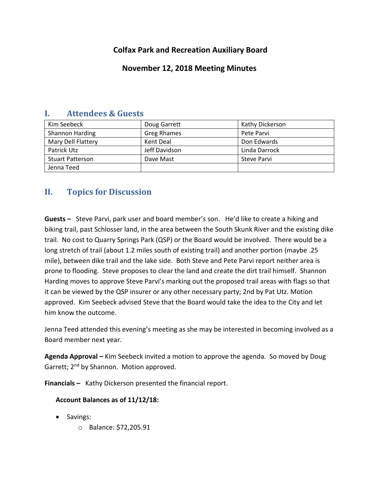# **Colfax Park and Recreation Auxiliary Board**

## **November 12, 2018 Meeting Minutes**

| Kim Seebeck             | Doug Garrett       | Kathy Dickerson    |
|-------------------------|--------------------|--------------------|
| Shannon Harding         | <b>Greg Rhames</b> | Pete Parvi         |
| Mary Dell Flattery      | Kent Deal          | Don Edwards        |
| Patrick Utz             | Jeff Davidson      | Linda Darrock      |
| <b>Stuart Patterson</b> | Dave Mast          | <b>Steve Parvi</b> |
| Jenna Teed              |                    |                    |

## **I. Attendees & Guests**

# **II. Topics for Discussion**

**Guests –** Steve Parvi, park user and board member's son. He'd like to create a hiking and biking trail, past Schlosser land, in the area between the South Skunk River and the existing dike trail. No cost to Quarry Springs Park (QSP) or the Board would be involved. There would be a long stretch of trail (about 1.2 miles south of existing trail) and another portion (maybe .25 mile), between dike trail and the lake side. Both Steve and Pete Parvi report neither area is prone to flooding. Steve proposes to clear the land and create the dirt trail himself. Shannon Harding moves to approve Steve Parvi's marking out the proposed trail areas with flags so that it can be viewed by the QSP insurer or any other necessary party; 2nd by Pat Utz. Motion approved. Kim Seebeck advised Steve that the Board would take the idea to the City and let him know the outcome.

Jenna Teed attended this evening's meeting as she may be interested in becoming involved as a Board member next year.

**Agenda Approval –** Kim Seebeck invited a motion to approve the agenda. So moved by Doug Garrett; 2<sup>nd</sup> by Shannon. Motion approved.

**Financials –** Kathy Dickerson presented the financial report.

### **Account Balances as of 11/12/18:**

- Savings:
	- o Balance: \$72,205.91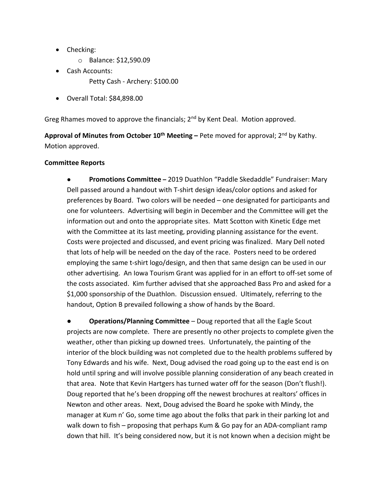- Checking:
	- o Balance: \$12,590.09
- Cash Accounts:
	- Petty Cash Archery: \$100.00
- Overall Total: \$84,898.00

Greg Rhames moved to approve the financials;  $2<sup>nd</sup>$  by Kent Deal. Motion approved.

**Approval of Minutes from October 10th Meeting –** Pete moved for approval; 2nd by Kathy. Motion approved.

### **Committee Reports**

● **Promotions Committee –** 2019 Duathlon "Paddle Skedaddle" Fundraiser: Mary Dell passed around a handout with T-shirt design ideas/color options and asked for preferences by Board. Two colors will be needed – one designated for participants and one for volunteers. Advertising will begin in December and the Committee will get the information out and onto the appropriate sites. Matt Scotton with Kinetic Edge met with the Committee at its last meeting, providing planning assistance for the event. Costs were projected and discussed, and event pricing was finalized. Mary Dell noted that lots of help will be needed on the day of the race. Posters need to be ordered employing the same t-shirt logo/design, and then that same design can be used in our other advertising. An Iowa Tourism Grant was applied for in an effort to off-set some of the costs associated. Kim further advised that she approached Bass Pro and asked for a \$1,000 sponsorship of the Duathlon. Discussion ensued. Ultimately, referring to the handout, Option B prevailed following a show of hands by the Board.

**Operations/Planning Committee** – Doug reported that all the Eagle Scout projects are now complete. There are presently no other projects to complete given the weather, other than picking up downed trees. Unfortunately, the painting of the interior of the block building was not completed due to the health problems suffered by Tony Edwards and his wife. Next, Doug advised the road going up to the east end is on hold until spring and will involve possible planning consideration of any beach created in that area. Note that Kevin Hartgers has turned water off for the season (Don't flush!). Doug reported that he's been dropping off the newest brochures at realtors' offices in Newton and other areas. Next, Doug advised the Board he spoke with Mindy, the manager at Kum n' Go, some time ago about the folks that park in their parking lot and walk down to fish – proposing that perhaps Kum & Go pay for an ADA-compliant ramp down that hill. It's being considered now, but it is not known when a decision might be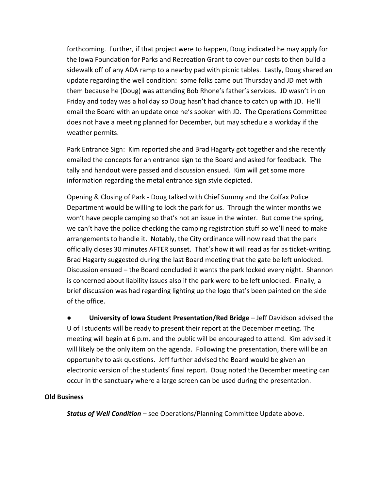forthcoming. Further, if that project were to happen, Doug indicated he may apply for the Iowa Foundation for Parks and Recreation Grant to cover our costs to then build a sidewalk off of any ADA ramp to a nearby pad with picnic tables. Lastly, Doug shared an update regarding the well condition: some folks came out Thursday and JD met with them because he (Doug) was attending Bob Rhone's father's services. JD wasn't in on Friday and today was a holiday so Doug hasn't had chance to catch up with JD. He'll email the Board with an update once he's spoken with JD. The Operations Committee does not have a meeting planned for December, but may schedule a workday if the weather permits.

Park Entrance Sign: Kim reported she and Brad Hagarty got together and she recently emailed the concepts for an entrance sign to the Board and asked for feedback. The tally and handout were passed and discussion ensued. Kim will get some more information regarding the metal entrance sign style depicted.

Opening & Closing of Park - Doug talked with Chief Summy and the Colfax Police Department would be willing to lock the park for us. Through the winter months we won't have people camping so that's not an issue in the winter. But come the spring, we can't have the police checking the camping registration stuff so we'll need to make arrangements to handle it. Notably, the City ordinance will now read that the park officially closes 30 minutes AFTER sunset. That's how it will read as far as ticket-writing. Brad Hagarty suggested during the last Board meeting that the gate be left unlocked. Discussion ensued – the Board concluded it wants the park locked every night. Shannon is concerned about liability issues also if the park were to be left unlocked. Finally, a brief discussion was had regarding lighting up the logo that's been painted on the side of the office.

● **University of Iowa Student Presentation/Red Bridge** – Jeff Davidson advised the U of I students will be ready to present their report at the December meeting. The meeting will begin at 6 p.m. and the public will be encouraged to attend. Kim advised it will likely be the only item on the agenda. Following the presentation, there will be an opportunity to ask questions. Jeff further advised the Board would be given an electronic version of the students' final report. Doug noted the December meeting can occur in the sanctuary where a large screen can be used during the presentation.

#### **Old Business**

*Status of Well Condition* – see Operations/Planning Committee Update above.